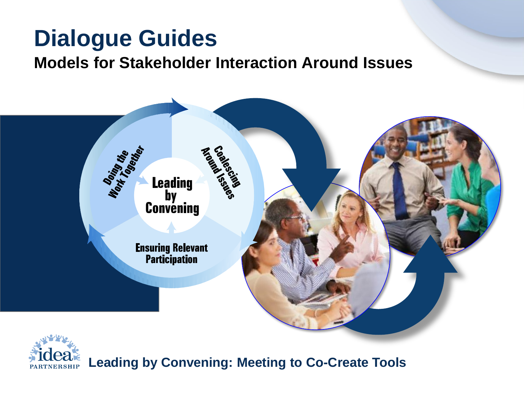### **Dialogue Guides**

#### **Models for Stakeholder Interaction Around Issues**





**Leading by Convening: Meeting to Co-Create Tools**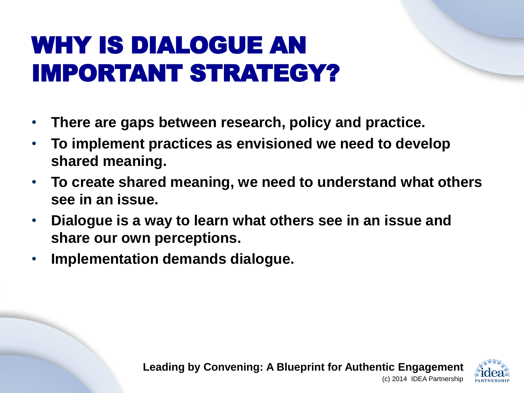### WHY IS DIALOGUE AN IMPORTANT STRATEGY?

- **There are gaps between research, policy and practice.**
- **To implement practices as envisioned we need to develop shared meaning.**
- **To create shared meaning, we need to understand what others see in an issue.**
- **Dialogue is a way to learn what others see in an issue and share our own perceptions.**
- **Implementation demands dialogue.**

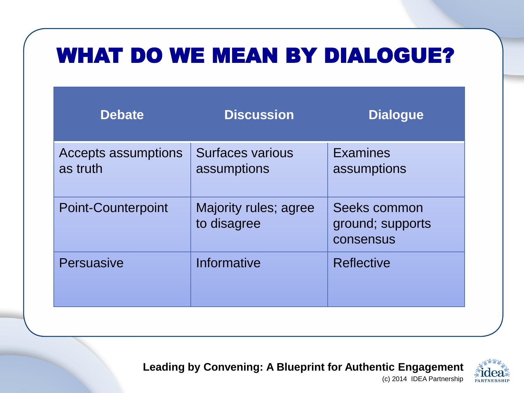### WHAT DO WE MEAN BY DIALOGUE?

| <b>Debate</b>                   | <b>Discussion</b>                    | <b>Dialogue</b>                               |
|---------------------------------|--------------------------------------|-----------------------------------------------|
| Accepts assumptions<br>as truth | Surfaces various<br>assumptions      | <b>Examines</b><br>assumptions                |
| <b>Point-Counterpoint</b>       | Majority rules; agree<br>to disagree | Seeks common<br>ground; supports<br>consensus |
| Persuasive                      | Informative                          | <b>Reflective</b>                             |

**Leading by Convening: A Blueprint for Authentic Engagement**  (c) 2014 IDEA Partnership

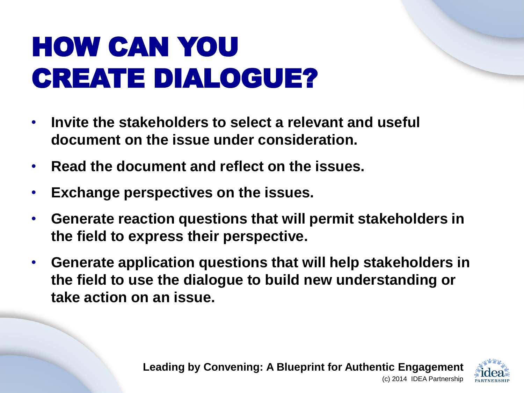# HOW CAN YOU CREATE DIALOGUE?

- **Invite the stakeholders to select a relevant and useful document on the issue under consideration.**
- **Read the document and reflect on the issues.**
- **Exchange perspectives on the issues.**
- **Generate reaction questions that will permit stakeholders in the field to express their perspective.**
- **Generate application questions that will help stakeholders in the field to use the dialogue to build new understanding or take action on an issue.**

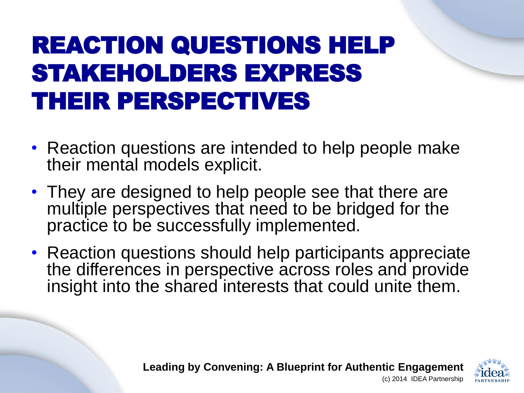### REACTION QUESTIONS HELP STAKEHOLDERS EXPRESS THEIR PERSPECTIVES

- Reaction questions are intended to help people make their mental models explicit.
- They are designed to help people see that there are multiple perspectives that need to be bridged for the practice to be successfully implemented.
- Reaction questions should help participants appreciate the differences in perspective across roles and provide insight into the shared interests that could unite them.

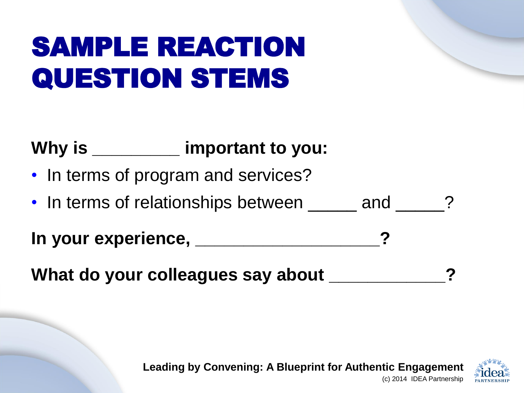# SAMPLE REACTION QUESTION STEMS

#### **Why is \_\_\_\_\_\_\_\_\_ important to you:**

- In terms of program and services?
- In terms of relationships between <u>eign and</u> 2

**In your experience, \_\_\_\_\_\_\_\_\_\_\_\_\_\_\_\_\_\_\_?** 

What do your colleagues say about **what** 

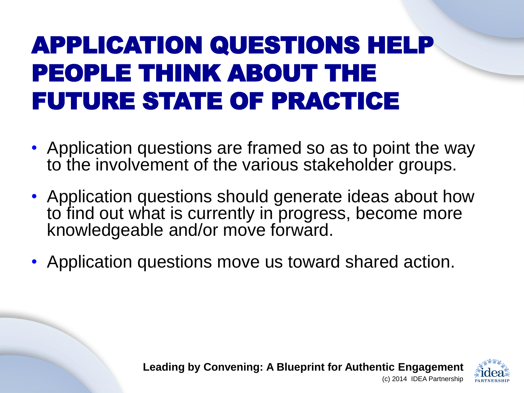### APPLICATION QUESTIONS HELP PEOPLE THINK ABOUT THE FUTURE STATE OF PRACTICE

- Application questions are framed so as to point the way to the involvement of the various stakeholder groups.
- Application questions should generate ideas about how to find out what is currently in progress, become more knowledgeable and/or move forward.
- Application questions move us toward shared action.

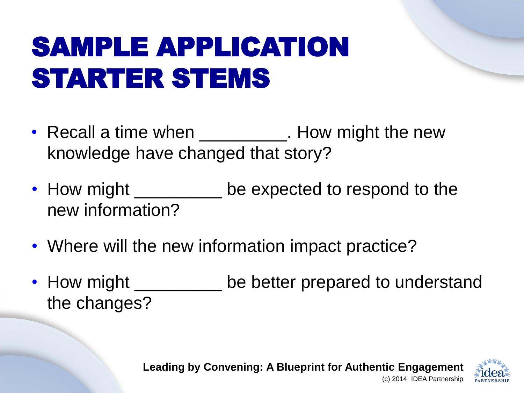# SAMPLE APPLICATION STARTER STEMS

- Recall a time when \_\_\_\_\_\_\_\_\_\_\_. How might the new knowledge have changed that story?
- How might \_\_\_\_\_\_\_\_\_ be expected to respond to the new information?
- Where will the new information impact practice?
- How might \_\_\_\_\_\_\_\_\_\_ be better prepared to understand the changes?

**Leading by Convening: A Blueprint for Authentic Engagement**  (c) 2014 IDEA Partnership

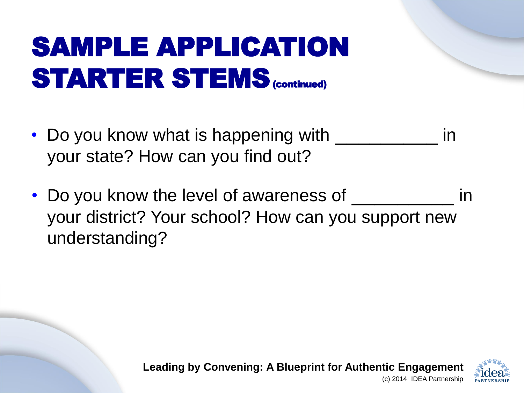# SAMPLE APPLICATION STARTER STEMS (continued)

- Do you know what is happening with \_\_\_\_\_\_\_\_\_\_\_\_ in your state? How can you find out?
- Do you know the level of awareness of  $\frac{1}{\sqrt{1-\frac{1}{n}}}\$ in your district? Your school? How can you support new understanding?

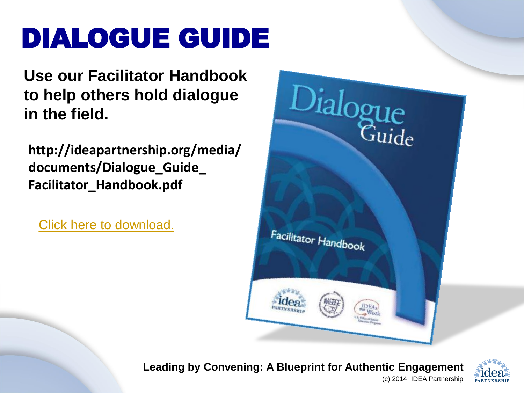# DIALOGUE GUIDE

**Use our Facilitator Handbook to help others hold dialogue in the field.**

**http://ideapartnership.org/media/ documents/Dialogue\_Guide\_ Facilitator\_Handbook.pdf** 

[Click here to download.](http://ideapartnership.org/media/documents/Dialogue_Guide_Facilitator_Handbook.pdf)



**Leading by Convening: A Blueprint for Authentic Engagement**